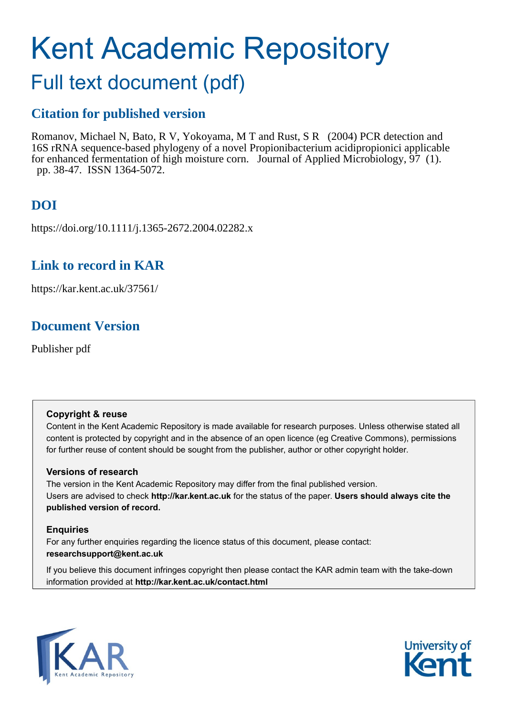# Kent Academic Repository

## Full text document (pdf)

## **Citation for published version**

Romanov, Michael N, Bato, R V, Yokoyama, M T and Rust, S R (2004) PCR detection and 16S rRNA sequence-based phylogeny of a novel Propionibacterium acidipropionici applicable for enhanced fermentation of high moisture corn. Journal of Applied Microbiology, 97 (1). pp. 38-47. ISSN 1364-5072.

## **DOI**

https://doi.org/10.1111/j.1365-2672.2004.02282.x

## **Link to record in KAR**

https://kar.kent.ac.uk/37561/

## **Document Version**

Publisher pdf

#### **Copyright & reuse**

Content in the Kent Academic Repository is made available for research purposes. Unless otherwise stated all content is protected by copyright and in the absence of an open licence (eg Creative Commons), permissions for further reuse of content should be sought from the publisher, author or other copyright holder.

#### **Versions of research**

The version in the Kent Academic Repository may differ from the final published version. Users are advised to check **http://kar.kent.ac.uk** for the status of the paper. **Users should always cite the published version of record.**

#### **Enquiries**

For any further enquiries regarding the licence status of this document, please contact: **researchsupport@kent.ac.uk**

If you believe this document infringes copyright then please contact the KAR admin team with the take-down information provided at **http://kar.kent.ac.uk/contact.html**



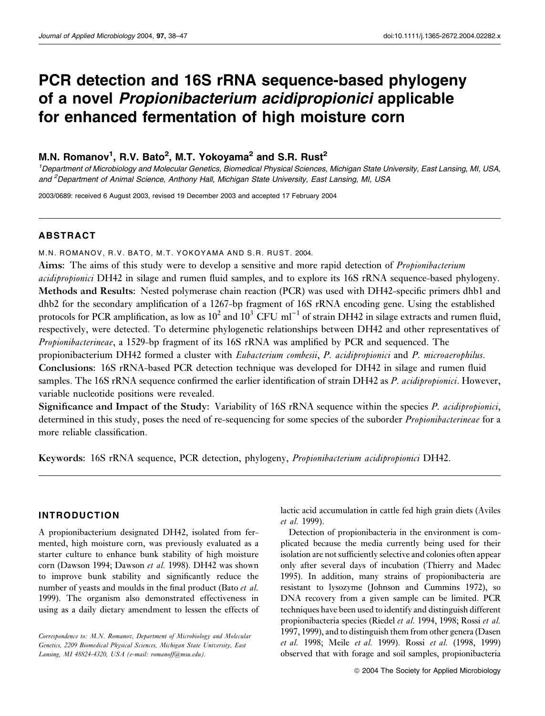## PCR detection and 16S rRNA sequence-based phylogeny of a novel Propionibacterium acidipropionici applicable for enhanced fermentation of high moisture corn

#### M.N. Romanov<sup>1</sup>, R.V. Bato<sup>2</sup>, M.T. Yokoyama<sup>2</sup> and S.R. Rust<sup>2</sup>

1 Department of Microbiology and Molecular Genetics, Biomedical Physical Sciences, Michigan State University, East Lansing, MI, USA, and <sup>2</sup>Department of Animal Science, Anthony Hall, Michigan State University, East Lansing, MI, USA

2003/0689: received 6 August 2003, revised 19 December 2003 and accepted 17 February 2004

#### ABSTRACT

M.N. ROMANOV, R.V. BATO, M.T. YOKOYAMA AND S.R. RUST. 2004.

Aims: The aims of this study were to develop a sensitive and more rapid detection of Propionibacterium acidipropionici DH42 in silage and rumen fluid samples, and to explore its 16S rRNA sequence-based phylogeny. Methods and Results: Nested polymerase chain reaction (PCR) was used with DH42-specific primers dhb1 and dhb2 for the secondary amplification of a 1267-bp fragment of 16S rRNA encoding gene. Using the established protocols for PCR amplification, as low as  $10^2$  and  $10^3$  CFU ml<sup>-1</sup> of strain DH42 in silage extracts and rumen fluid, respectively, were detected. To determine phylogenetic relationships between DH42 and other representatives of Propionibacterineae, a 1529-bp fragment of its 16S rRNA was amplified by PCR and sequenced. The

propionibacterium DH42 formed a cluster with Eubacterium combesii, P. acidipropionici and P. microaerophilus. Conclusions: 16S rRNA-based PCR detection technique was developed for DH42 in silage and rumen fluid samples. The 16S rRNA sequence confirmed the earlier identification of strain DH42 as P. acidipropionici. However, variable nucleotide positions were revealed.

Significance and Impact of the Study: Variability of 16S rRNA sequence within the species P. acidipropionici, determined in this study, poses the need of re-sequencing for some species of the suborder *Propionibacterineae* for a more reliable classification.

Keywords: 16S rRNA sequence, PCR detection, phylogeny, Propionibacterium acidipropionici DH42.

#### INTRODUCTION

A propionibacterium designated DH42, isolated from fermented, high moisture corn, was previously evaluated as a starter culture to enhance bunk stability of high moisture corn (Dawson 1994; Dawson et al. 1998). DH42 was shown to improve bunk stability and significantly reduce the number of yeasts and moulds in the final product (Bato et al. 1999). The organism also demonstrated effectiveness in using as a daily dietary amendment to lessen the effects of

Correspondence to: M.N. Romanov, Department of Microbiology and Molecular Genetics, 2209 Biomedical Physical Sciences, Michigan State University, East Lansing, MI 48824-4320, USA (e-mail: romanoff@msu.edu).

lactic acid accumulation in cattle fed high grain diets (Aviles et al. 1999).

Detection of propionibacteria in the environment is complicated because the media currently being used for their isolation are not sufficiently selective and colonies often appear only after several days of incubation (Thierry and Madec 1995). In addition, many strains of propionibacteria are resistant to lysozyme (Johnson and Cummins 1972), so DNA recovery from a given sample can be limited. PCR techniques have been used to identify and distinguish different propionibacteria species (Riedel et al. 1994, 1998; Rossi et al. 1997, 1999), and to distinguish them from other genera (Dasen et al. 1998; Meile et al. 1999). Rossi et al. (1998, 1999) observed that with forage and soil samples, propionibacteria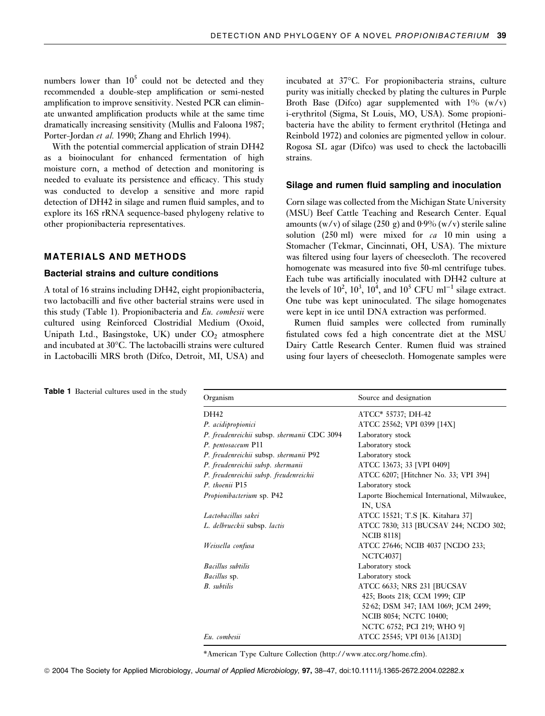numbers lower than  $10^5$  could not be detected and they recommended a double-step amplification or semi-nested amplification to improve sensitivity. Nested PCR can eliminate unwanted amplification products while at the same time dramatically increasing sensitivity (Mullis and Faloona 1987; Porter-Jordan et al. 1990; Zhang and Ehrlich 1994).

With the potential commercial application of strain DH42 as a bioinoculant for enhanced fermentation of high moisture corn, a method of detection and monitoring is needed to evaluate its persistence and efficacy. This study was conducted to develop a sensitive and more rapid detection of DH42 in silage and rumen fluid samples, and to explore its 16S rRNA sequence-based phylogeny relative to other propionibacteria representatives.

#### MATERIALS AND METHODS

#### Bacterial strains and culture conditions

A total of 16 strains including DH42, eight propionibacteria, two lactobacilli and five other bacterial strains were used in this study (Table 1). Propionibacteria and Eu. combesii were cultured using Reinforced Clostridial Medium (Oxoid, Unipath Ltd., Basingstoke, UK) under  $CO<sub>2</sub>$  atmosphere and incubated at 30°C. The lactobacilli strains were cultured in Lactobacilli MRS broth (Difco, Detroit, MI, USA) and

incubated at 37°C. For propionibacteria strains, culture purity was initially checked by plating the cultures in Purple Broth Base (Difco) agar supplemented with  $1\%$  (w/v) i-erythritol (Sigma, St Louis, MO, USA). Some propionibacteria have the ability to ferment erythritol (Hetinga and Reinbold 1972) and colonies are pigmented yellow in colour. Rogosa SL agar (Difco) was used to check the lactobacilli strains.

#### Silage and rumen fluid sampling and inoculation

Corn silage was collected from the Michigan State University (MSU) Beef Cattle Teaching and Research Center. Equal amounts (w/v) of silage (250 g) and  $0.9\%$  (w/v) sterile saline solution (250 ml) were mixed for  $ca$  10 min using a Stomacher (Tekmar, Cincinnati, OH, USA). The mixture was filtered using four layers of cheesecloth. The recovered homogenate was measured into five 50-ml centrifuge tubes. Each tube was artificially inoculated with DH42 culture at the levels of  $10^2$ ,  $10^3$ ,  $10^4$ , and  $10^5$  CFU ml<sup>-1</sup> silage extract. One tube was kept uninoculated. The silage homogenates were kept in ice until DNA extraction was performed.

Rumen fluid samples were collected from ruminally fistulated cows fed a high concentrate diet at the MSU Dairy Cattle Research Center. Rumen fluid was strained using four layers of cheesecloth. Homogenate samples were

| Organism                                    | Source and designation                                     |
|---------------------------------------------|------------------------------------------------------------|
| DH42                                        | ATCC* 55737; DH-42                                         |
| P. acidipropionici                          | ATCC 25562; VPI 0399 [14X]                                 |
| P. freudenreichii subsp. shermanii CDC 3094 | Laboratory stock                                           |
| P. pentosaceum P11                          | Laboratory stock                                           |
| P. freudenreichii subsp. shermanii P92      | Laboratory stock                                           |
| P. freudenreichii subsp. shermanii          | ATCC 13673; 33 [VPI 0409]                                  |
| P. freudenreichii subsp. freudenreichii     | ATCC 6207; [Hitchner No. 33; VPI 394]                      |
| P. thoenii P15                              | Laboratory stock                                           |
| <i>Propionibacterium</i> sp. P42            | Laporte Biochemical International, Milwaukee,<br>IN, USA   |
| Lactobacillus sakei                         | ATCC 15521; T.S [K. Kitahara 37]                           |
| L. delbrueckii subsp. lactis                | ATCC 7830; 313 [BUCSAV 244; NCDO 302;<br><b>NCIB 81181</b> |
| Weissella confusa                           | ATCC 27646; NCIB 4037 [NCDO 233;<br><b>NCTC4037</b>        |
| <b>Bacillus</b> subtilis                    | Laboratory stock                                           |
| <i>Bacillus</i> sp.                         | Laboratory stock                                           |
| <b>B.</b> subtilis                          | ATCC 6633; NRS 231 [BUCSAV                                 |
|                                             | 425; Boots 218; CCM 1999; CIP                              |
|                                             | 52.62; DSM 347; IAM 1069; JCM 2499;                        |
|                                             | NCIB 8054; NCTC 10400;                                     |
|                                             | NCTC 6752; PCI 219; WHO 9]                                 |
| Eu. combesii                                | ATCC 25545; VPI 0136 [A13D]                                |

\*American Type Culture Collection (http://www.atcc.org/home.cfm).

Table 1 Bacterial cultures used in the study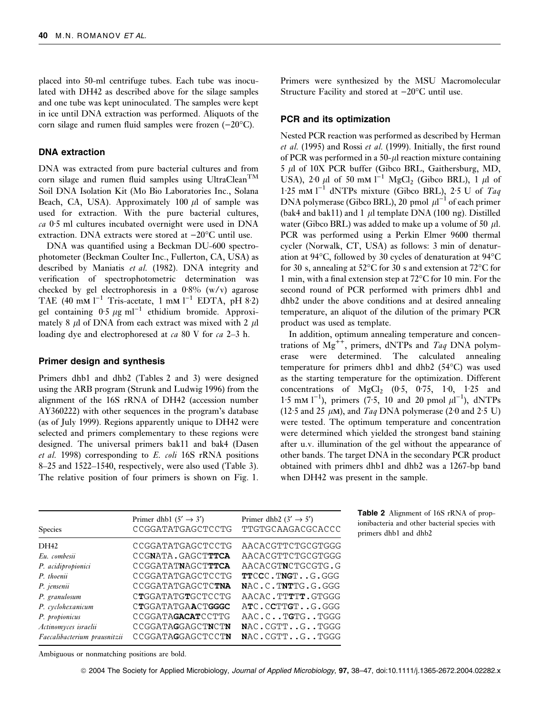placed into 50-ml centrifuge tubes. Each tube was inoculated with DH42 as described above for the silage samples and one tube was kept uninoculated. The samples were kept in ice until DNA extraction was performed. Aliquots of the corn silage and rumen fluid samples were frozen  $(-20^{\circ}C)$ .

#### DNA extraction

DNA was extracted from pure bacterial cultures and from corn silage and rumen fluid samples using UltraClean<sup>TM</sup> Soil DNA Isolation Kit (Mo Bio Laboratories Inc., Solana Beach, CA, USA). Approximately 100  $\mu$ l of sample was used for extraction. With the pure bacterial cultures,  $ca$  0.5 ml cultures incubated overnight were used in DNA extraction. DNA extracts were stored at  $-20^{\circ}$ C until use.

DNA was quantified using a Beckman DU-600 spectrophotometer (Beckman Coulter Inc., Fullerton, CA, USA) as described by Maniatis et al. (1982). DNA integrity and verification of spectrophotometric determination was checked by gel electrophoresis in a  $0.8\%$  (w/v) agarose TAE (40 mM  $l^{-1}$  Tris-acetate, 1 mM  $l^{-1}$  EDTA, pH 8.2) gel containing  $0.5 \mu g$  ml<sup>-1</sup> ethidium bromide. Approximately 8  $\mu$ l of DNA from each extract was mixed with 2  $\mu$ l loading dye and electrophoresed at *ca* 80 V for *ca* 2–3 h.

#### Primer design and synthesis

Primers dhb1 and dhb2 (Tables 2 and 3) were designed using the ARB program (Strunk and Ludwig 1996) from the alignment of the 16S rRNA of DH42 (accession number AY360222) with other sequences in the program's database (as of July 1999). Regions apparently unique to DH42 were selected and primers complementary to these regions were designed. The universal primers bak11 and bak4 (Dasen et al. 1998) corresponding to E. coli 16S rRNA positions 8–25 and 1522–1540, respectively, were also used (Table 3). The relative position of four primers is shown on Fig. 1. Primers were synthesized by the MSU Macromolecular Structure Facility and stored at  $-20^{\circ}$ C until use.

#### PCR and its optimization

Nested PCR reaction was performed as described by Herman et al. (1995) and Rossi et al. (1999). Initially, the first round of PCR was performed in a  $50-\mu l$  reaction mixture containing  $5 \mu l$  of 10X PCR buffer (Gibco BRL, Gaithersburg, MD, USA), 2.0  $\mu$ l of 50 mm l<sup>-1</sup> MgCl<sub>2</sub> (Gibco BRL), 1  $\mu$ l of 1.25 mM  $1^{-1}$  dNTPs mixture (Gibco BRL), 2.5 U of Taq DNA polymerase (Gibco BRL), 20 pmol  $\mu l^{-1}$  of each primer (bak4 and bak11) and 1  $\mu$ l template DNA (100 ng). Distilled water (Gibco BRL) was added to make up a volume of 50  $\mu$ l. PCR was performed using a Perkin Elmer 9600 thermal cycler (Norwalk, CT, USA) as follows: 3 min of denaturation at 94°C, followed by 30 cycles of denaturation at 94°C for 30 s, annealing at 52°C for 30 s and extension at 72°C for 1 min, with a final extension step at 72°C for 10 min. For the second round of PCR performed with primers dhb1 and dhb2 under the above conditions and at desired annealing temperature, an aliquot of the dilution of the primary PCR product was used as template.

In addition, optimum annealing temperature and concentrations of  $Mg^{++}$ , primers, dNTPs and Taq DNA polymerase were determined. The calculated annealing temperature for primers dhb1 and dhb2 (54°C) was used as the starting temperature for the optimization. Different concentrations of  $MgCl<sub>2</sub>$  (0.5, 0.75, 1.0, 1.25 and 1.5 mM  $1^{-1}$ ), primers (7.5, 10 and 20 pmol  $\mu I^{-1}$ ), dNTPs (12.5 and 25  $\mu$ M), and Taq DNA polymerase (2.0 and 2.5 U) were tested. The optimum temperature and concentration were determined which yielded the strongest band staining after u.v. illumination of the gel without the appearance of other bands. The target DNA in the secondary PCR product obtained with primers dhb1 and dhb2 was a 1267-bp band when DH42 was present in the sample.

| <b>Species</b>               | Primer dhb1 $(5' \rightarrow 3')$<br>CCGGATATGAGCTCCTG | Primer dhb2 $(3' \rightarrow 5')$<br>TTGTGCAAGACGCACCC |
|------------------------------|--------------------------------------------------------|--------------------------------------------------------|
| DH42                         | CCGGATATGAGCTCCTG                                      | AACACGTTCTGCGTGGG                                      |
| Eu. combesii                 | CCGNATA.GAGCTTTCA                                      | AACACGTTCTGCGTGGG                                      |
| P. acidipropionici           | CCGGATATNAGCTTTCA                                      | AACACGTNCTGCGTG.G                                      |
| P. thoenii                   | CCGGATATGAGCTCCTG                                      | TTCCC.TNGTG.GGG                                        |
| P. jensenii                  | CCGGATATGAGCTCTNA                                      | NAC.C.TNTTG.G.GGG                                      |
| P. granulosum                | CTGGATATGTGCTCCTG                                      | AACAC.TTTTT.GTGGG                                      |
| P. cyclohexanicum            | <b>CTGGATATGAACTGGGC</b>                               | ATC.CCTTGTG.GGG                                        |
| P. propionicus               | CCGGATAGACATCCTTG                                      | AAC.CTGTGTGGG                                          |
| Actinomyces israelii         | CCGGATAGGAGCTNCTN                                      | NAC.CGTTGTGGG                                          |
| Faecalibacterium prausnitzii | CCGGATAGGAGCTCCTN                                      | NAC.CGTTGTGGG                                          |

Table 2 Alignment of 16S rRNA of propionibacteria and other bacterial species with primers dhb1 and dhb2

Ambiguous or nonmatching positions are bold.

ª 2004 The Society for Applied Microbiology, Journal of Applied Microbiology, 97, 38–47, doi:10.1111/j.1365-2672.2004.02282.x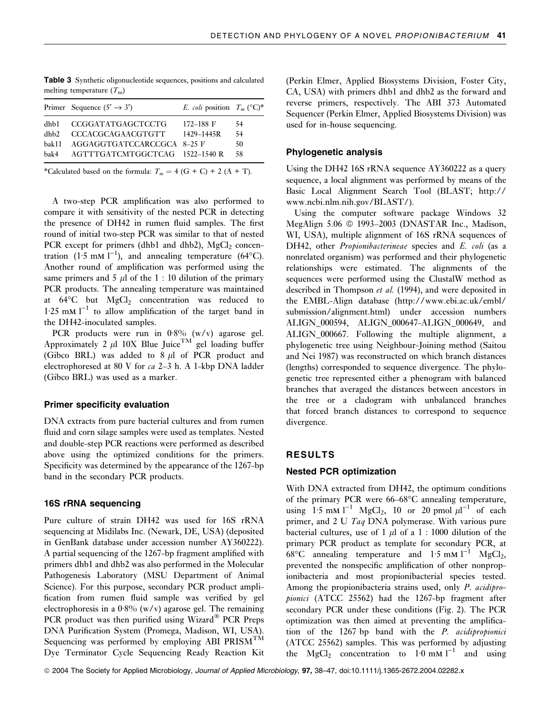|        | Primer Sequence $(5' \rightarrow 3')$ | <i>E. coli</i> position $T_m$ (°C)* |    |
|--------|---------------------------------------|-------------------------------------|----|
| dhb1 - | <b>CCGGATATGAGCTCCTG</b>              | $172 - 188$ F                       | 54 |
| dhh2   | <b>CCCACGCAGAACGTGTT</b>              | 1429–1445R                          | 54 |
| hak11  | AGGAGGTGATCCARCCGCA 8-25 F            |                                     | 50 |
| bak4   | AGTTTGATCMTGGCTCAG 1522-1540 R        |                                     | 58 |

Table 3 Synthetic oligonucleotide sequences, positions and calculated melting temperature  $(T<sub>m</sub>)$ 

\*Calculated based on the formula:  $T_m = 4$  (G + C) + 2 (A + T).

A two-step PCR amplification was also performed to compare it with sensitivity of the nested PCR in detecting the presence of DH42 in rumen fluid samples. The first round of initial two-step PCR was similar to that of nested PCR except for primers (dhb1 and dhb2),  $MgCl<sub>2</sub>$  concentration (1.5 mM  $l^{-1}$ ), and annealing temperature (64°C). Another round of amplification was performed using the same primers and 5  $\mu$ l of the 1 : 10 dilution of the primary PCR products. The annealing temperature was maintained at 64°C but MgCl<sub>2</sub> concentration was reduced to  $1.25$  mM  $l^{-1}$  to allow amplification of the target band in the DH42-inoculated samples.

PCR products were run in  $0.8\%$  (w/v) agarose gel. Approximately 2  $\mu$ l 10X Blue Juice<sup>TM</sup> gel loading buffer (Gibco BRL) was added to  $8 \mu l$  of PCR product and electrophoresed at 80 V for ca 2–3 h. A 1-kbp DNA ladder (Gibco BRL) was used as a marker.

#### Primer specificity evaluation

DNA extracts from pure bacterial cultures and from rumen fluid and corn silage samples were used as templates. Nested and double-step PCR reactions were performed as described above using the optimized conditions for the primers. Specificity was determined by the appearance of the 1267-bp band in the secondary PCR products.

#### 16S rRNA sequencing

Pure culture of strain DH42 was used for 16S rRNA sequencing at Midilabs Inc. (Newark, DE, USA) (deposited in GenBank database under accession number AY360222). A partial sequencing of the 1267-bp fragment amplified with primers dhb1 and dhb2 was also performed in the Molecular Pathogenesis Laboratory (MSU Department of Animal Science). For this purpose, secondary PCR product amplification from rumen fluid sample was verified by gel electrophoresis in a  $0.8\%$  (w/v) agarose gel. The remaining PCR product was then purified using Wizard® PCR Preps DNA Purification System (Promega, Madison, WI, USA). Sequencing was performed by employing ABI PRISM<sup>TM</sup> Dye Terminator Cycle Sequencing Ready Reaction Kit (Perkin Elmer, Applied Biosystems Division, Foster City, CA, USA) with primers dhb1 and dhb2 as the forward and reverse primers, respectively. The ABI 373 Automated Sequencer (Perkin Elmer, Applied Biosystems Division) was used for in-house sequencing.

#### Phylogenetic analysis

Using the DH42 16S rRNA sequence AY360222 as a query sequence, a local alignment was performed by means of the Basic Local Alignment Search Tool (BLAST; http:// www.ncbi.nlm.nih.gov/BLAST/).

Using the computer software package Windows 32 MegAlign  $5.06 \oplus 1993-2003$  (DNASTAR Inc., Madison, WI, USA), multiple alignment of 16S rRNA sequences of DH42, other *Propionibacterineae* species and E. coli (as a nonrelated organism) was performed and their phylogenetic relationships were estimated. The alignments of the sequences were performed using the ClustalW method as described in Thompson et al. (1994), and were deposited in the EMBL-Align database (http://www.ebi.ac.uk/embl/ submission/alignment.html) under accession numbers ALIGN\_000594, ALIGN\_000647-ALIGN\_000649, and ALIGN\_000667. Following the multiple alignment, a phylogenetic tree using Neighbour-Joining method (Saitou and Nei 1987) was reconstructed on which branch distances (lengths) corresponded to sequence divergence. The phylogenetic tree represented either a phenogram with balanced branches that averaged the distances between ancestors in the tree or a cladogram with unbalanced branches that forced branch distances to correspond to sequence divergence.

#### RESULTS

#### Nested PCR optimization

With DNA extracted from DH42, the optimum conditions of the primary PCR were  $66-68^{\circ}$ C annealing temperature, using  $1.5$  mM  $1^{-1}$  MgCl<sub>2</sub>, 10 or 20 pmol  $\mu$ 1<sup>-1</sup> of each primer, and 2 U Taq DNA polymerase. With various pure bacterial cultures, use of 1  $\mu$ l of a 1 : 1000 dilution of the primary PCR product as template for secondary PCR, at  $68^{\circ}$ C annealing temperature and 1.5 mM l<sup>-1</sup> MgCl<sub>2</sub>, prevented the nonspecific amplification of other nonpropionibacteria and most propionibacterial species tested. Among the propionibacteria strains used, only P. acidipropionici (ATCC 25562) had the 1267-bp fragment after secondary PCR under these conditions (Fig. 2). The PCR optimization was then aimed at preventing the amplification of the 1267 bp band with the P. acidipropionici (ATCC 25562) samples. This was performed by adjusting the  $MgCl<sub>2</sub>$  concentration to  $1.0$  mM l<sup>-1</sup> and using

ª 2004 The Society for Applied Microbiology, Journal of Applied Microbiology, 97, 38–47, doi:10.1111/j.1365-2672.2004.02282.x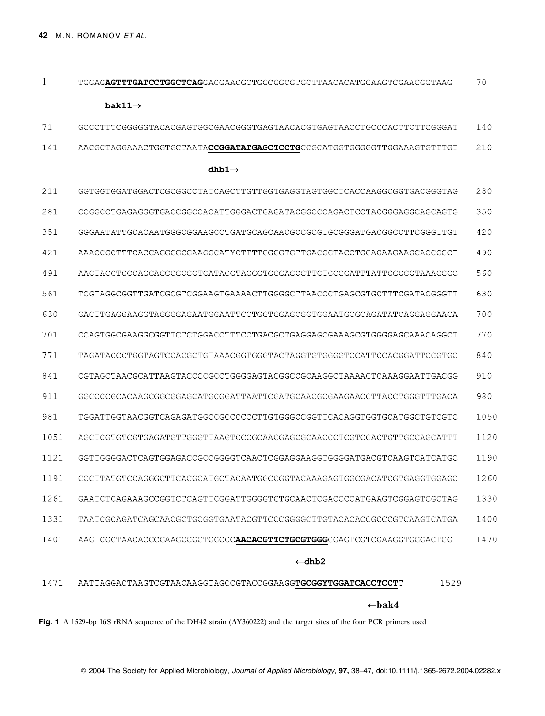| $\mathbf{1}$ | TGGAG <b>AGTTTGATCCTGGCTCAG</b> GACGAACGCTGGCGGCGTGCTTAACACATGCAAGTCGAACGGTAAG                                     | 70   |
|--------------|--------------------------------------------------------------------------------------------------------------------|------|
|              | bak11 $\rightarrow$                                                                                                |      |
| 71           | GCCCTTTCGGGGGTACACGAGTGGCGAACGGGTGAGTAACACGTGAGTAACCTGCCCACTTCTTCGGGAT                                             | 140  |
| 141          | AACGCTAGGAAACTGGTGCTAATACCGGATATGAGCTCCTGCCGCATGGTGGGGGTTGGAAAGTGTTTGT                                             | 210  |
|              | dhb $1\rightarrow$                                                                                                 |      |
| 211          | GGTGGTGGATGGACTCGCGGCCTATCAGCTTGTTGGTGAGGTAGTGGCTCACCAAGGCGGTGACGGTAG                                              | 280  |
| 281          | CCGGCCTGAGAGGGTGACCGGCCACATTGGGACTGAGATACGGCCCAGACTCCTACGGGAGGCAGCAGTG                                             | 350  |
| 351          | GGGAATATTGCACAATGGGCGGAAGCCTGATGCAGCAACGCCGCGTGCGGGATGACGGCCTTCGGGTTGT                                             | 420  |
| 421          | AAACCGCTTTCACCAGGGGCGAAGGCATYCTTTTGGGGTGTTGACGGTACCTGGAGAAGAAGCACCGGCT                                             | 490  |
| 491          | AACTACGTGCCAGCAGCCGCGGTGATACGTAGGGTGCGAGCGTTGTCCGGATTTATTGGGCGTAAAGGGC                                             | 560  |
| 561          | TCGTAGGCGGTTGATCGCGTCGGAAGTGAAAACTTGGGGCTTAACCCTGAGCGTGCTTTCGATACGGGTT                                             | 630  |
| 630          | GACTTGAGGAAGGTAGGGGAGAATGGAATTCCTGGTGGAGCGGTGGAATGCGCAGATATCAGGAGGAACA                                             | 700  |
| 701          | CCAGTGGCGAAGGCGGTTCTCTGGACCTTTCCTGACGCTGAGGAGCGAAAGCGTGGGGAGCAAACAGGCT                                             | 770  |
| 771          | TAGATACCCTGGTAGTCCACGCTGTAAACGGTGGGTACTAGGTGTGGGGTCCATTCCACGGATTCCGTGC                                             | 840  |
| 841          | CGTAGCTAACGCATTAAGTACCCCGCCTGGGGAGTACGGCCGCAAGGCTAAAACTCAAAGGAATTGACGG                                             | 910  |
| 911          | GGCCCCGCACAAGCGGCGGAGCATGCGGATTAATTCGATGCAACGCGAAGAACCTTACCTGGGTTTGACA                                             | 980  |
| 981          | TGGATTGGTAACGGTCAGAGATGGCCGCCCCCCTTGTGGGCCGGTTCACAGGTGGTGCATGGCTGTCGTC                                             | 1050 |
| 1051         | AGCTCGTGTCGTGAGATGTTGGGTTAAGTCCCGCAACGAGCGCAACCCTCGTCCACTGTTGCCAGCATTT                                             | 1120 |
| 1121         | GGTTGGGGACTCAGTGGAGACCGCCGGGGTCAACTCGGAGGAAGGTGGGGATGACGTCAAGTCATCATGC                                             | 1190 |
| 1191         | CCCTTATGTCCAGGGCTTCACGCATGCTACAATGGCCGGTACAAAGAGTGGCGACATCGTGAGGTGGAGC                                             | 1260 |
| 1261         | GAATCTCAGAAAGCCGGTCTCAGTTCGGATTGGGGTCTGCAACTCGACCCCATGAAGTCGGAGTCGCTAG                                             | 1330 |
| 1331         | TAATCGCAGATCAGCAACGCTGCGGTGAATACGTTCCCGGGGCTTGTACACACCGCCCCTCAAGTCATGA                                             | 1400 |
| 1401         | AAGTCGGTAACACCCGAAGCCGGTGGCCCAACACGTTCTGCGTGGGGAGTCGTCGAAGGTGGGACTGGT                                              | 1470 |
|              | $\leftarrow$ dhb2                                                                                                  |      |
| 1471         | 1529<br>AATTAGGACTAAGTCGTAACAAGGTAGCCGTACCGGAAGGTGCGGYTGGATCACCTCCTT                                               |      |
|              | $\leftarrow$ bak4                                                                                                  |      |
|              | Fig. 1 A 1529-bp 16S rRNA sequence of the DH42 strain (AY360222) and the target sites of the four PCR primers used |      |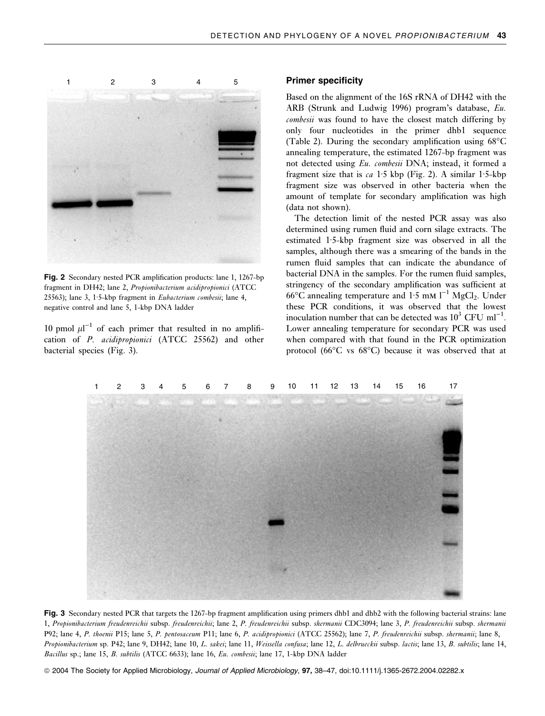

Fig. 2 Secondary nested PCR amplification products: lane 1, 1267-bp fragment in DH42; lane 2, Propionibacterium acidipropionici (ATCC 25563); lane 3, 1.5-kbp fragment in *Eubacterium combesii*; lane 4, negative control and lane 5, 1-kbp DNA ladder

10 pmol  $\mu$ l<sup>-1</sup> of each primer that resulted in no amplification of P. acidipropionici (ATCC 25562) and other bacterial species (Fig. 3).

#### Primer specificity

Based on the alignment of the 16S rRNA of DH42 with the ARB (Strunk and Ludwig 1996) program's database, Eu. combesii was found to have the closest match differing by only four nucleotides in the primer dhb1 sequence (Table 2). During the secondary amplification using  $68^{\circ}$ C annealing temperature, the estimated 1267-bp fragment was not detected using Eu. combesii DNA; instead, it formed a fragment size that is  $ca$  1.5 kbp (Fig. 2). A similar 1.5-kbp fragment size was observed in other bacteria when the amount of template for secondary amplification was high (data not shown).

The detection limit of the nested PCR assay was also determined using rumen fluid and corn silage extracts. The estimated  $1.5$ -kbp fragment size was observed in all the samples, although there was a smearing of the bands in the rumen fluid samples that can indicate the abundance of bacterial DNA in the samples. For the rumen fluid samples, stringency of the secondary amplification was sufficient at  $66^{\circ}$ C annealing temperature and 1.5 mM  $l^{-1}$  MgCl<sub>2</sub>. Under these PCR conditions, it was observed that the lowest inoculation number that can be detected was  $10^3$  CFU ml<sup>-1</sup>. Lower annealing temperature for secondary PCR was used when compared with that found in the PCR optimization protocol (66°C vs 68°C) because it was observed that at



Fig. 3 Secondary nested PCR that targets the 1267-bp fragment amplification using primers dhb1 and dhb2 with the following bacterial strains: lane 1, Propionibacterium freudenreichii subsp. freudenreichii; lane 2, P. freudenreichii subsp. shermanii CDC3094; lane 3, P. freudenreichii subsp. shermanii P92; lane 4, P. thoenii P15; lane 5, P. pentosaceum P11; lane 6, P. acidipropionici (ATCC 25562); lane 7, P. freudenreichii subsp. shermanii; lane 8, Propionibacterium sp. P42; lane 9, DH42; lane 10, L. sakei; lane 11, Weissella confusa; lane 12, L. delbrueckii subsp. lactis; lane 13, B. subtilis; lane 14, Bacillus sp.; lane 15, B. subtilis (ATCC 6633); lane 16, Eu. combesii; lane 17, 1-kbp DNA ladder

ª 2004 The Society for Applied Microbiology, Journal of Applied Microbiology, 97, 38–47, doi:10.1111/j.1365-2672.2004.02282.x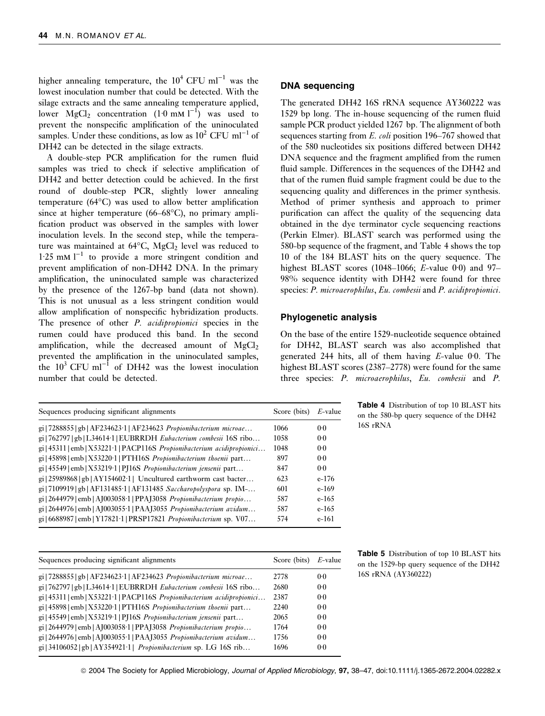higher annealing temperature, the  $10^4$  CFU ml<sup>-1</sup> was the lowest inoculation number that could be detected. With the silage extracts and the same annealing temperature applied, lower MgCl<sub>2</sub> concentration  $(1.0 \text{ mM } l^{-1})$  was used to prevent the nonspecific amplification of the uninoculated samples. Under these conditions, as low as  $10^2$  CFU ml<sup>-1</sup> of DH42 can be detected in the silage extracts.

A double-step PCR amplification for the rumen fluid samples was tried to check if selective amplification of DH42 and better detection could be achieved. In the first round of double-step PCR, slightly lower annealing temperature (64°C) was used to allow better amplification since at higher temperature (66–68°C), no primary amplification product was observed in the samples with lower inoculation levels. In the second step, while the temperature was maintained at  $64^{\circ}$ C,  $MgCl_2$  level was reduced to  $1.25$  mM  $l^{-1}$  to provide a more stringent condition and prevent amplification of non-DH42 DNA. In the primary amplification, the uninoculated sample was characterized by the presence of the 1267-bp band (data not shown). This is not unusual as a less stringent condition would allow amplification of nonspecific hybridization products. The presence of other *P. acidipropionici* species in the rumen could have produced this band. In the second amplification, while the decreased amount of  $MgCl<sub>2</sub>$ prevented the amplification in the uninoculated samples, the  $10^3$  CFU ml<sup>-1</sup> of DH42 was the lowest inoculation number that could be detected.

| Sequences producing significant alignments                                            | Score (bits) | $E$ -value |  |
|---------------------------------------------------------------------------------------|--------------|------------|--|
| gi   7288855   gb   AF234623 1   AF234623 Propionibacterium microae                   | 1066         | 0.0        |  |
| gi   762797   gb   L34614 1   EUBRRDH Eubacterium combesii 16S ribo                   | 1058         | 0.0        |  |
| $gi(45311  emb  X532211   PACP116S Propionibacterium acidipropionici$                 | 1048         | 0.0        |  |
| gi   45898   emb   X53220·1   PTH16S Propionibacterium thoenii part                   | 897          | 0.0        |  |
| gi   45549   emb   X53219 · 1   PJ16S Propionibacterium jensenii part                 | 847          | 0.0        |  |
| $gi$ 25989868 gb   AY154602.1   Uncultured earthworm cast bacter                      | 623          | $e-176$    |  |
| gi   7109919   gb   AF131485.1   AF131485 Saccharopolyspora sp. IM-                   | 601          | $e-169$    |  |
| $gi$   2644979   emb   AJ003058·1   PPAJ3058 <i>Propionibacterium propio</i>          | 587          | $e-165$    |  |
| gi   2644976   emb   AJ003055 · 1   PAAJ3055 <i>Propionibacterium avidum</i>          | 587          | $e-165$    |  |
| $g_1$   6688987   emb   Y17821 $\cdot$ 1   PRSP17821 <i>Propionibacterium</i> sp. V07 | 574          | $e-161$    |  |

| Sequences producing significant alignments                                      | Score (bits) | $E$ -value |
|---------------------------------------------------------------------------------|--------------|------------|
| gi   7288855   gb   AF234623·1   AF234623 Propionibacterium microae             | 2778         | 0.0        |
| gi   762797   gb   L34614 1   EUBRRDH Eubacterium combesii 16S ribo             | 2680         | 0.0        |
| gi   45311   emb   X53221·1   PACP116S Propionibacterium acidipropionici        | 2387         | 0.0        |
| gi   45898   emb   X53220 · 1   PTH16S <i>Propionibacterium thoenii</i> part    | 2240         | 0.0        |
| $\pi$ i   45549   emb   X53219 1   PJ16S <i>Propionibacterium jensenii</i> part | 2065         | 0.0        |
| gi   2644979   emb   AJ003058·1   PPAJ3058 Propionibacterium propio             | 1764         | 0.0        |
| gi   2644976   emb   AJ003055·1   PAAJ3055 Propionibacterium avidum             | 1756         | 0.0        |
| $g_1$   34106052   gb   AY354921·1   <i>Propionibacterium</i> sp. LG 16S rib    | 1696         | 0.0        |

#### DNA sequencing

The generated DH42 16S rRNA sequence AY360222 was 1529 bp long. The in-house sequencing of the rumen fluid sample PCR product yielded 1267 bp. The alignment of both sequences starting from E. coli position 196–767 showed that of the 580 nucleotides six positions differed between DH42 DNA sequence and the fragment amplified from the rumen fluid sample. Differences in the sequences of the DH42 and that of the rumen fluid sample fragment could be due to the sequencing quality and differences in the primer synthesis. Method of primer synthesis and approach to primer purification can affect the quality of the sequencing data obtained in the dye terminator cycle sequencing reactions (Perkin Elmer). BLAST search was performed using the 580-bp sequence of the fragment, and Table 4 shows the top 10 of the 184 BLAST hits on the query sequence. The highest BLAST scores (1048–1066; E-value 0.0) and 97– 98% sequence identity with DH42 were found for three species: P. microaerophilus, Eu. combesii and P. acidipropionici.

#### Phylogenetic analysis

On the base of the entire 1529-nucleotide sequence obtained for DH42, BLAST search was also accomplished that generated 244 hits, all of them having  $E$ -value 0.0. The highest BLAST scores (2387–2778) were found for the same three species: P. microaerophilus, Eu. combesii and P.

> Table 4 Distribution of top 10 BLAST hits on the 580-bp query sequence of the DH42 16S rRNA

Table 5 Distribution of top 10 BLAST hits on the 1529-bp query sequence of the DH42 16S rRNA (AY360222)

ª 2004 The Society for Applied Microbiology, Journal of Applied Microbiology, 97, 38–47, doi:10.1111/j.1365-2672.2004.02282.x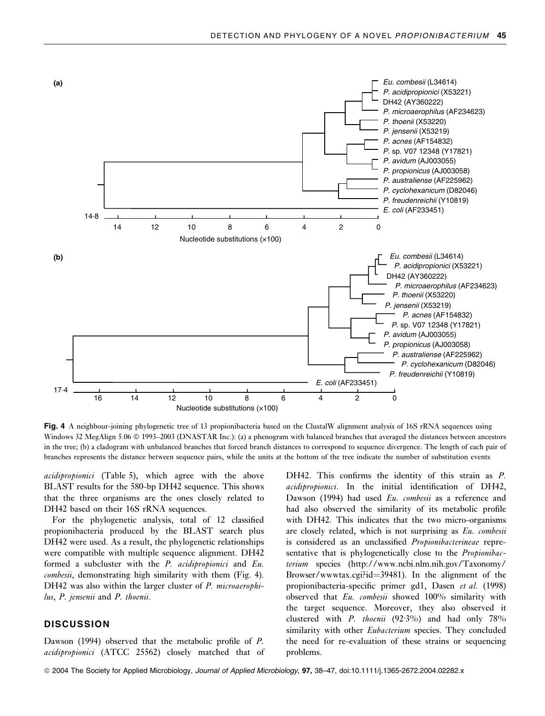

Fig. 4 A neighbour-joining phylogenetic tree of 13 propionibacteria based on the ClustalW alignment analysis of 16S rRNA sequences using Windows 32 MegAlign 5.06 © 1993–2003 (DNASTAR Inc.): (a) a phenogram with balanced branches that averaged the distances between ancestors in the tree; (b) a cladogram with unbalanced branches that forced branch distances to correspond to sequence divergence. The length of each pair of branches represents the distance between sequence pairs, while the units at the bottom of the tree indicate the number of substitution events

acidipropionici (Table 5), which agree with the above BLAST results for the 580-bp DH42 sequence. This shows that the three organisms are the ones closely related to DH42 based on their 16S rRNA sequences.

For the phylogenetic analysis, total of 12 classified propionibacteria produced by the BLAST search plus DH42 were used. As a result, the phylogenetic relationships were compatible with multiple sequence alignment. DH42 formed a subcluster with the P. acidipropionici and Eu. combesii, demonstrating high similarity with them (Fig. 4). DH42 was also within the larger cluster of P. microaerophilus, P. jensenii and P. thoenii.

#### **DISCUSSION**

Dawson (1994) observed that the metabolic profile of P. acidipropionici (ATCC 25562) closely matched that of DH42. This confirms the identity of this strain as P. acidipropionici. In the initial identification of DH42, Dawson (1994) had used Eu. combesii as a reference and had also observed the similarity of its metabolic profile with DH42. This indicates that the two micro-organisms are closely related, which is not surprising as Eu. combesii is considered as an unclassified Propionibacterineae representative that is phylogenetically close to the *Propionibac*terium species (http://www.ncbi.nlm.nih.gov/Taxonomy/ Browser/www.tax.cgi?id=39481). In the alignment of the propionibacteria-specific primer gd1, Dasen et al. (1998) observed that Eu. combesii showed 100% similarity with the target sequence. Moreover, they also observed it clustered with P. thoenii  $(92.3\%)$  and had only 78% similarity with other *Eubacterium* species. They concluded the need for re-evaluation of these strains or sequencing problems.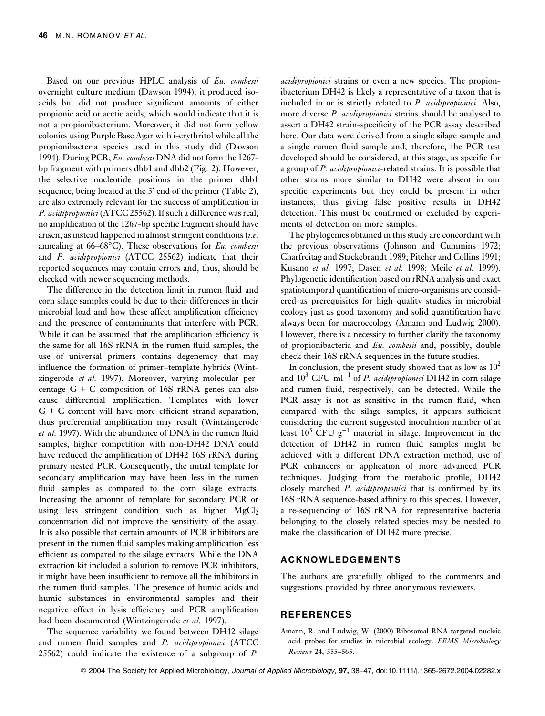Based on our previous HPLC analysis of Eu. combesii overnight culture medium (Dawson 1994), it produced isoacids but did not produce significant amounts of either propionic acid or acetic acids, which would indicate that it is not a propionibacterium. Moreover, it did not form yellow colonies using Purple Base Agar with i-erythritol while all the propionibacteria species used in this study did (Dawson 1994). During PCR, Eu. combesii DNA did not form the 1267 bp fragment with primers dhb1 and dhb2 (Fig. 2). However, the selective nucleotide positions in the primer dhb1 sequence, being located at the  $3'$  end of the primer (Table 2), are also extremely relevant for the success of amplification in P. acidipropionici (ATCC 25562). If such a difference was real, no amplification of the 1267-bp specific fragment should have arisen, as instead happened in almost stringent conditions  $(i.e.$ annealing at 66–68°C). These observations for Eu. combesii and P. acidipropionici (ATCC 25562) indicate that their reported sequences may contain errors and, thus, should be checked with newer sequencing methods.

The difference in the detection limit in rumen fluid and corn silage samples could be due to their differences in their microbial load and how these affect amplification efficiency and the presence of contaminants that interfere with PCR. While it can be assumed that the amplification efficiency is the same for all 16S rRNA in the rumen fluid samples, the use of universal primers contains degeneracy that may influence the formation of primer–template hybrids (Wintzingerode et al. 1997). Moreover, varying molecular percentage  $G + C$  composition of 16S rRNA genes can also cause differential amplification. Templates with lower G + C content will have more efficient strand separation, thus preferential amplification may result (Wintzingerode et al. 1997). With the abundance of DNA in the rumen fluid samples, higher competition with non-DH42 DNA could have reduced the amplification of DH42 16S rRNA during primary nested PCR. Consequently, the initial template for secondary amplification may have been less in the rumen fluid samples as compared to the corn silage extracts. Increasing the amount of template for secondary PCR or using less stringent condition such as higher  $MgCl<sub>2</sub>$ concentration did not improve the sensitivity of the assay. It is also possible that certain amounts of PCR inhibitors are present in the rumen fluid samples making amplification less efficient as compared to the silage extracts. While the DNA extraction kit included a solution to remove PCR inhibitors, it might have been insufficient to remove all the inhibitors in the rumen fluid samples. The presence of humic acids and humic substances in environmental samples and their negative effect in lysis efficiency and PCR amplification had been documented (Wintzingerode et al. 1997).

The sequence variability we found between DH42 silage and rumen fluid samples and P. acidipropionici (ATCC 25562) could indicate the existence of a subgroup of P.

acidipropionici strains or even a new species. The propionibacterium DH42 is likely a representative of a taxon that is included in or is strictly related to P. acidipropionici. Also, more diverse *P. acidipropionici* strains should be analysed to assert a DH42 strain-specificity of the PCR assay described here. Our data were derived from a single silage sample and a single rumen fluid sample and, therefore, the PCR test developed should be considered, at this stage, as specific for a group of P. acidipropionici-related strains. It is possible that other strains more similar to DH42 were absent in our specific experiments but they could be present in other instances, thus giving false positive results in DH42 detection. This must be confirmed or excluded by experiments of detection on more samples.

The phylogenies obtained in this study are concordant with the previous observations (Johnson and Cummins 1972; Charfreitag and Stackebrandt 1989; Pitcher and Collins 1991; Kusano et al. 1997; Dasen et al. 1998; Meile et al. 1999). Phylogenetic identification based on rRNA analysis and exact spatiotemporal quantification of micro-organisms are considered as prerequisites for high quality studies in microbial ecology just as good taxonomy and solid quantification have always been for macroecology (Amann and Ludwig 2000). However, there is a necessity to further clarify the taxonomy of propionibacteria and Eu. combesii and, possibly, double check their 16S rRNA sequences in the future studies.

In conclusion, the present study showed that as low as  $10^2$ and  $10^3$  CFU ml<sup>-1</sup> of *P. acidipropionici* DH42 in corn silage and rumen fluid, respectively, can be detected. While the PCR assay is not as sensitive in the rumen fluid, when compared with the silage samples, it appears sufficient considering the current suggested inoculation number of at least  $10^5$  CFU g<sup>-1</sup> material in silage. Improvement in the detection of DH42 in rumen fluid samples might be achieved with a different DNA extraction method, use of PCR enhancers or application of more advanced PCR techniques. Judging from the metabolic profile, DH42 closely matched *P. acidipropionici* that is confirmed by its 16S rRNA sequence-based affinity to this species. However, a re-sequencing of 16S rRNA for representative bacteria belonging to the closely related species may be needed to make the classification of DH42 more precise.

#### ACKNOWLEDGEMENTS

The authors are gratefully obliged to the comments and suggestions provided by three anonymous reviewers.

#### REFERENCES

Amann, R. and Ludwig, W. (2000) Ribosomal RNA-targeted nucleic acid probes for studies in microbial ecology. FEMS Microbiology Reviews 24, 555–565.